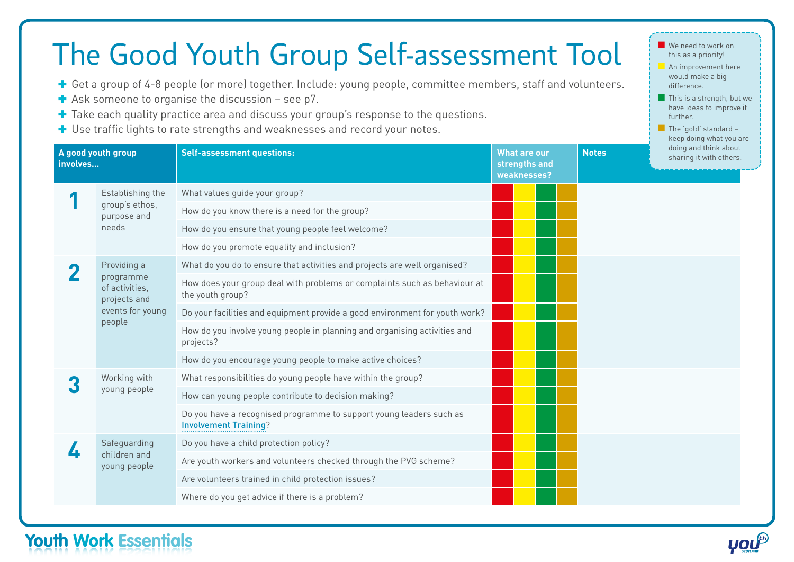## The Good Youth Group Self-assessment Tool

- ✚ Get a group of 4-8 people (or more) together. Include: young people, committee members, staff and volunteers.
- $\blacktriangleright$  Ask someone to organise the discussion see p7.
- ✚ Take each quality practice area and discuss your group's response to the questions.
- ✚ Use traffic lights to rate strengths and weaknesses and record your notes.

| A good youth group<br>involves |                                                            | <b>Self-assessment questions:</b>                                                                   | <b>What are our</b><br>strengths and<br>weaknesses? |  | <b>Notes</b> | doing and think about<br>sharing it with others. |  |
|--------------------------------|------------------------------------------------------------|-----------------------------------------------------------------------------------------------------|-----------------------------------------------------|--|--------------|--------------------------------------------------|--|
|                                | Establishing the                                           | What values guide your group?                                                                       |                                                     |  |              |                                                  |  |
|                                | group's ethos,<br>purpose and<br>needs                     | How do you know there is a need for the group?                                                      |                                                     |  |              |                                                  |  |
|                                |                                                            | How do you ensure that young people feel welcome?                                                   |                                                     |  |              |                                                  |  |
|                                |                                                            | How do you promote equality and inclusion?                                                          |                                                     |  |              |                                                  |  |
|                                | Providing a<br>programme<br>of activities,<br>projects and | What do you do to ensure that activities and projects are well organised?                           |                                                     |  |              |                                                  |  |
|                                |                                                            | How does your group deal with problems or complaints such as behaviour at<br>the youth group?       |                                                     |  |              |                                                  |  |
|                                | events for young                                           | Do your facilities and equipment provide a good environment for youth work?                         |                                                     |  |              |                                                  |  |
|                                | people                                                     | How do you involve young people in planning and organising activities and<br>projects?              |                                                     |  |              |                                                  |  |
|                                |                                                            | How do you encourage young people to make active choices?                                           |                                                     |  |              |                                                  |  |
|                                | Working with<br>young people                               | What responsibilities do young people have within the group?                                        |                                                     |  |              |                                                  |  |
|                                |                                                            | How can young people contribute to decision making?                                                 |                                                     |  |              |                                                  |  |
|                                |                                                            | Do you have a recognised programme to support young leaders such as<br><b>Involvement Training?</b> |                                                     |  |              |                                                  |  |
|                                | Safeguarding                                               | Do you have a child protection policy?                                                              |                                                     |  |              |                                                  |  |
|                                | children and<br>young people                               | Are youth workers and volunteers checked through the PVG scheme?                                    |                                                     |  |              |                                                  |  |
|                                |                                                            | Are volunteers trained in child protection issues?                                                  |                                                     |  |              |                                                  |  |
|                                |                                                            | Where do you get advice if there is a problem?                                                      |                                                     |  |              |                                                  |  |

## **Youth Work Essentials**

■ We need to work on this as a priority! **An improvement here** would make a big difference.

■ This is a strength, but we have ideas to improve it

■ The 'gold' standard keep doing what you are

further.